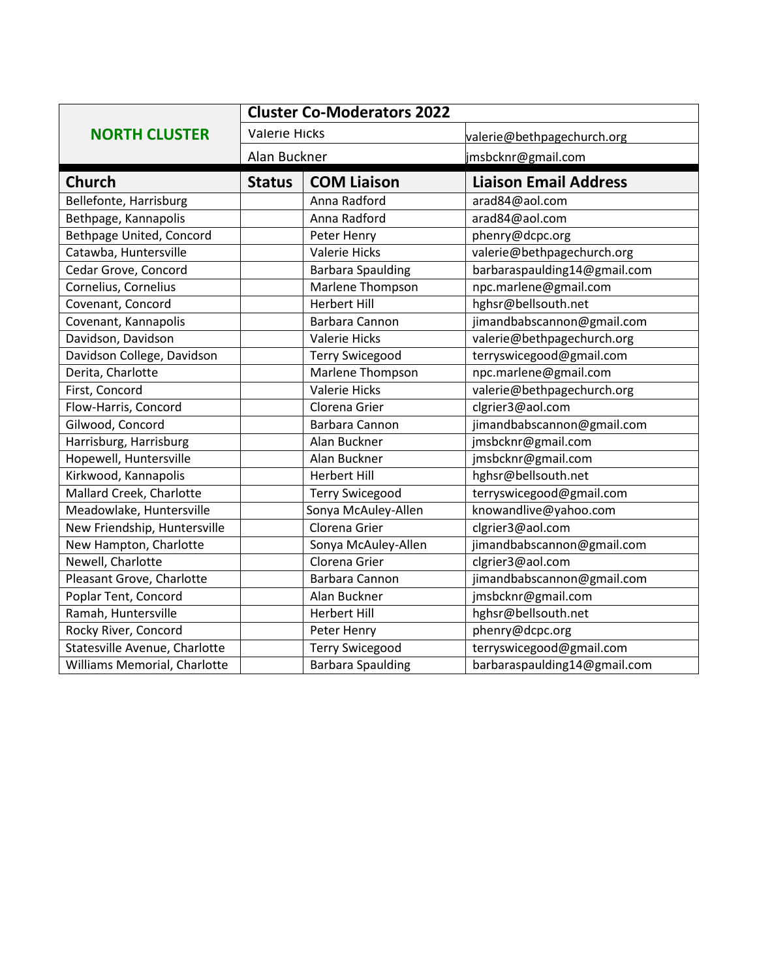|                               | <b>Cluster Co-Moderators 2022</b> |                          |                              |
|-------------------------------|-----------------------------------|--------------------------|------------------------------|
| <b>NORTH CLUSTER</b>          | <b>Valerie Hicks</b>              |                          | valerie@bethpagechurch.org   |
|                               |                                   | Alan Buckner             | jmsbcknr@gmail.com           |
| <b>Church</b>                 | <b>Status</b>                     | <b>COM Liaison</b>       | <b>Liaison Email Address</b> |
| Bellefonte, Harrisburg        |                                   | Anna Radford             | arad84@aol.com               |
| Bethpage, Kannapolis          |                                   | Anna Radford             | arad84@aol.com               |
| Bethpage United, Concord      |                                   | Peter Henry              | phenry@dcpc.org              |
| Catawba, Huntersville         |                                   | <b>Valerie Hicks</b>     | valerie@bethpagechurch.org   |
| Cedar Grove, Concord          |                                   | <b>Barbara Spaulding</b> | barbaraspaulding14@gmail.com |
| Cornelius, Cornelius          |                                   | Marlene Thompson         | npc.marlene@gmail.com        |
| Covenant, Concord             |                                   | <b>Herbert Hill</b>      | hghsr@bellsouth.net          |
| Covenant, Kannapolis          |                                   | Barbara Cannon           | jimandbabscannon@gmail.com   |
| Davidson, Davidson            |                                   | <b>Valerie Hicks</b>     | valerie@bethpagechurch.org   |
| Davidson College, Davidson    |                                   | <b>Terry Swicegood</b>   | terryswicegood@gmail.com     |
| Derita, Charlotte             |                                   | Marlene Thompson         | npc.marlene@gmail.com        |
| First, Concord                |                                   | <b>Valerie Hicks</b>     | valerie@bethpagechurch.org   |
| Flow-Harris, Concord          |                                   | Clorena Grier            | clgrier3@aol.com             |
| Gilwood, Concord              |                                   | Barbara Cannon           | jimandbabscannon@gmail.com   |
| Harrisburg, Harrisburg        |                                   | Alan Buckner             | jmsbcknr@gmail.com           |
| Hopewell, Huntersville        |                                   | Alan Buckner             | jmsbcknr@gmail.com           |
| Kirkwood, Kannapolis          |                                   | <b>Herbert Hill</b>      | hghsr@bellsouth.net          |
| Mallard Creek, Charlotte      |                                   | <b>Terry Swicegood</b>   | terryswicegood@gmail.com     |
| Meadowlake, Huntersville      |                                   | Sonya McAuley-Allen      | knowandlive@yahoo.com        |
| New Friendship, Huntersville  |                                   | Clorena Grier            | clgrier3@aol.com             |
| New Hampton, Charlotte        |                                   | Sonya McAuley-Allen      | jimandbabscannon@gmail.com   |
| Newell, Charlotte             |                                   | Clorena Grier            | clgrier3@aol.com             |
| Pleasant Grove, Charlotte     |                                   | Barbara Cannon           | jimandbabscannon@gmail.com   |
| Poplar Tent, Concord          |                                   | Alan Buckner             | jmsbcknr@gmail.com           |
| Ramah, Huntersville           |                                   | <b>Herbert Hill</b>      | hghsr@bellsouth.net          |
| Rocky River, Concord          |                                   | Peter Henry              | phenry@dcpc.org              |
| Statesville Avenue, Charlotte |                                   | <b>Terry Swicegood</b>   | terryswicegood@gmail.com     |
| Williams Memorial, Charlotte  |                                   | <b>Barbara Spaulding</b> | barbaraspaulding14@gmail.com |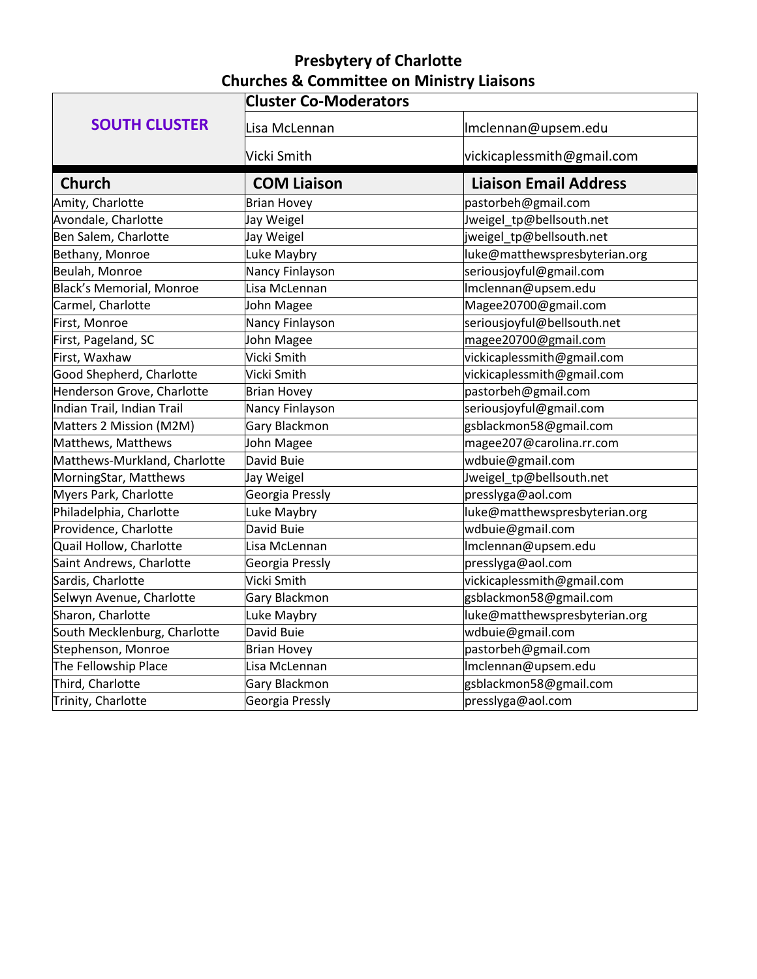## **Presbytery of Charlotte Churches & Committee on Ministry Liaisons**

|                              | <b>Cluster Co-Moderators</b> |                               |  |  |
|------------------------------|------------------------------|-------------------------------|--|--|
| <b>SOUTH CLUSTER</b>         | Lisa McLennan                | Imclennan@upsem.edu           |  |  |
|                              | Vicki Smith                  | vickicaplessmith@gmail.com    |  |  |
| <b>Church</b>                | <b>COM Liaison</b>           | <b>Liaison Email Address</b>  |  |  |
| Amity, Charlotte             | <b>Brian Hovey</b>           | pastorbeh@gmail.com           |  |  |
| Avondale, Charlotte          | Jay Weigel                   | Jweigel_tp@bellsouth.net      |  |  |
| Ben Salem, Charlotte         | Jay Weigel                   | jweigel_tp@bellsouth.net      |  |  |
| Bethany, Monroe              | Luke Maybry                  | luke@matthewspresbyterian.org |  |  |
| Beulah, Monroe               | Nancy Finlayson              | seriousjoyful@gmail.com       |  |  |
| Black's Memorial, Monroe     | Lisa McLennan                | Imclennan@upsem.edu           |  |  |
| Carmel, Charlotte            | John Magee                   | Magee20700@gmail.com          |  |  |
| First, Monroe                | Nancy Finlayson              | seriousjoyful@bellsouth.net   |  |  |
| First, Pageland, SC          | John Magee                   | magee20700@gmail.com          |  |  |
| First, Waxhaw                | Vicki Smith                  | vickicaplessmith@gmail.com    |  |  |
| Good Shepherd, Charlotte     | Vicki Smith                  | vickicaplessmith@gmail.com    |  |  |
| Henderson Grove, Charlotte   | <b>Brian Hovey</b>           | pastorbeh@gmail.com           |  |  |
| Indian Trail, Indian Trail   | Nancy Finlayson              | seriousjoyful@gmail.com       |  |  |
| Matters 2 Mission (M2M)      | Gary Blackmon                | gsblackmon58@gmail.com        |  |  |
| Matthews, Matthews           | John Magee                   | magee207@carolina.rr.com      |  |  |
| Matthews-Murkland, Charlotte | David Buie                   | wdbuie@gmail.com              |  |  |
| MorningStar, Matthews        | Jay Weigel                   | Jweigel_tp@bellsouth.net      |  |  |
| Myers Park, Charlotte        | Georgia Pressly              | presslyga@aol.com             |  |  |
| Philadelphia, Charlotte      | Luke Maybry                  | luke@matthewspresbyterian.org |  |  |
| Providence, Charlotte        | David Buie                   | wdbuie@gmail.com              |  |  |
| Quail Hollow, Charlotte      | Lisa McLennan                | Imclennan@upsem.edu           |  |  |
| Saint Andrews, Charlotte     | Georgia Pressly              | presslyga@aol.com             |  |  |
| Sardis, Charlotte            | Vicki Smith                  | vickicaplessmith@gmail.com    |  |  |
| Selwyn Avenue, Charlotte     | Gary Blackmon                | gsblackmon58@gmail.com        |  |  |
| Sharon, Charlotte            | Luke Maybry                  | luke@matthewspresbyterian.org |  |  |
| South Mecklenburg, Charlotte | David Buie                   | wdbuie@gmail.com              |  |  |
| Stephenson, Monroe           | <b>Brian Hovey</b>           | pastorbeh@gmail.com           |  |  |
| The Fellowship Place         | Lisa McLennan                | Imclennan@upsem.edu           |  |  |
| Third, Charlotte             | Gary Blackmon                | gsblackmon58@gmail.com        |  |  |
| Trinity, Charlotte           | Georgia Pressly              | presslyga@aol.com             |  |  |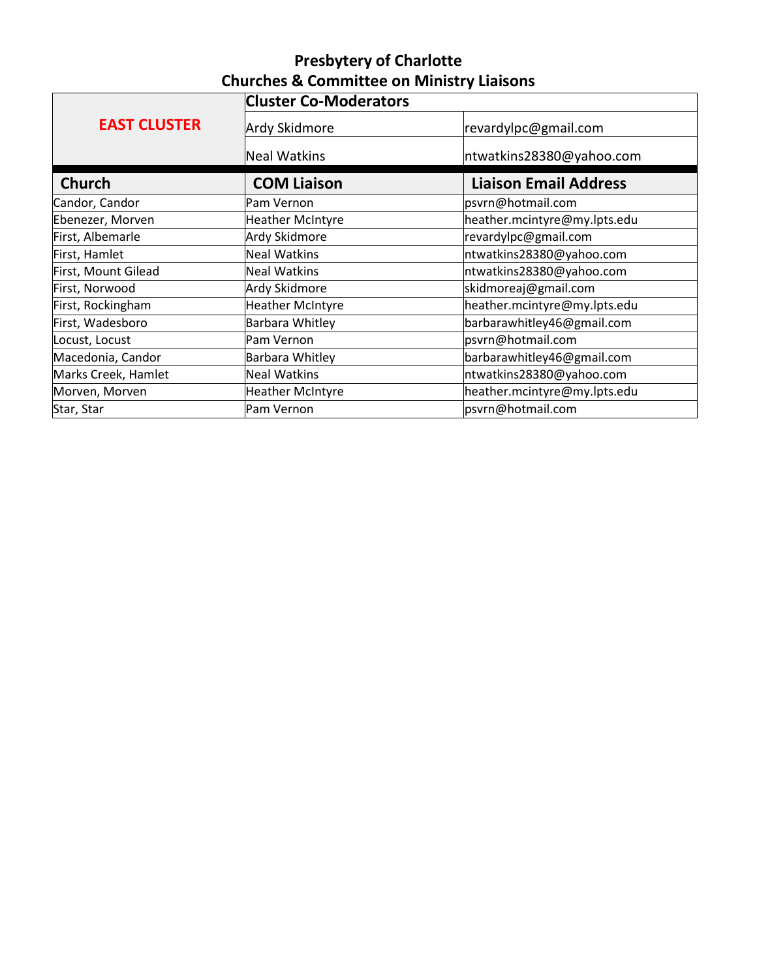## **Presbytery of Charlotte Churches & Committee on Ministry Liaisons**

|                     | <b>Cluster Co-Moderators</b> |                              |  |  |
|---------------------|------------------------------|------------------------------|--|--|
| <b>EAST CLUSTER</b> | Ardy Skidmore                | revardylpc@gmail.com         |  |  |
|                     | Neal Watkins                 | ntwatkins28380@yahoo.com     |  |  |
| <b>Church</b>       | <b>COM Liaison</b>           | <b>Liaison Email Address</b> |  |  |
| Candor, Candor      | Pam Vernon                   | psvrn@hotmail.com            |  |  |
| Ebenezer, Morven    | <b>Heather McIntyre</b>      | heather.mcintyre@my.lpts.edu |  |  |
| First, Albemarle    | Ardy Skidmore                | revardylpc@gmail.com         |  |  |
| First, Hamlet       | <b>Neal Watkins</b>          | ntwatkins28380@yahoo.com     |  |  |
| First, Mount Gilead | <b>Neal Watkins</b>          | ntwatkins28380@yahoo.com     |  |  |
| First, Norwood      | Ardy Skidmore                | skidmoreaj@gmail.com         |  |  |
| First, Rockingham   | <b>Heather McIntyre</b>      | heather.mcintyre@my.lpts.edu |  |  |
| First, Wadesboro    | Barbara Whitley              | barbarawhitley46@gmail.com   |  |  |
| Locust, Locust      | Pam Vernon                   | psvrn@hotmail.com            |  |  |
| Macedonia, Candor   | Barbara Whitley              | barbarawhitley46@gmail.com   |  |  |
| Marks Creek, Hamlet | <b>Neal Watkins</b>          | ntwatkins28380@yahoo.com     |  |  |
| Morven, Morven      | <b>Heather McIntyre</b>      | heather.mcintyre@my.lpts.edu |  |  |
| Star, Star          | Pam Vernon                   | psvrn@hotmail.com            |  |  |